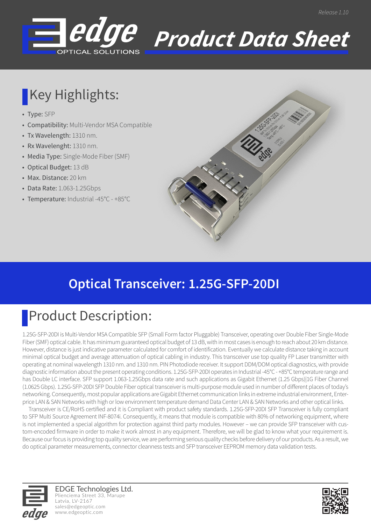

# *Product Data Sheet*

## Key Highlights:

- Type: SFP
- Compatibility: Multi-Vendor MSA Compatible
- Tx Wavelength: 1310 nm.
- Rx Wavelenght: 1310 nm.
- Media Type: Single-Mode Fiber (SMF)
- Optical Budget: 13 dB
- Max. Distance: 20 km
- Data Rate: 1.063-1.25Gbps
- Temperature: Industrial -45°C +85°C



## Product Description:

1.25G-SFP-20DI is Multi-Vendor MSA Compatible SFP (Small Form factor Pluggable) Transceiver, operating over Double Fiber Single-Mode Fiber (SMF) optical cable. It has minimum guaranteed optical budget of 13 dB, with in most cases is enough to reach about 20 km distance. However, distance is just indicative parameter calculated for comfort of identification. Eventually we calculate distance taking in account minimal optical budget and average attenuation of optical cabling in industry. This transceiver use top quality FP Laser transmitter with operating at nominal wavelength 1310 nm. and 1310 nm. PIN Photodiode receiver. It support DDM/DOM optical diagnostics, with provide diagnostic information about the present operating conditions. 1.25G-SFP-20DI operates in Industrial -45°C - +85°C temperature range and has Double LC interface. SFP support 1.063-1.25Gbps data rate and such applications as Gigabit Ethernet (1.25 Gbps)|1G Fiber Channel (1.0625 Gbps). 1.25G-SFP-20DI SFP Double Fiber optical transceiver is multi-purpose module used in number of different places of today's networking. Consequently, most popular applications are Gigabit Ethernet communication links in extreme industrial environment, Enterprice LAN & SAN Networks with high or low environment temperature demand Data Center LAN & SAN Networks and other optical links.

 Transceiver is CE/RoHS certified and it is Compliant with product safety standards. 1.25G-SFP-20DI SFP Transceiver is fully compliant to SFP Multi Source Agreement INF-8074i. Consequently, it means that module is compatible with 80% of networking equipment, where is not implemented a special algorithm for protection against third party modules. However – we can provide SFP transceiver with custom-encoded firmware in order to make it work almost in any equipment. Therefore, we will be glad to know what your requirement is. Because our focus is providing top quality service, we are performing serious quality checks before delivery of our products. As a result, we do optical parameter measurements, connector cleanness tests and SFP transceiver EEPROM memory data validation tests.



EDGE Technologies Ltd. Plienciema Street 33, Marupe Latvia, LV-2167 sales@edgeoptic.com www.edgeoptic.com

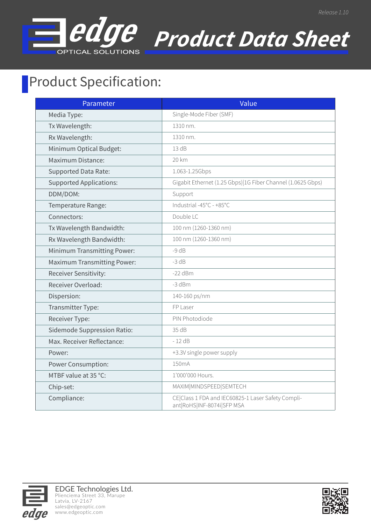

# *Product Data Sheet*

*Release 1.10*

### **Product Specification:**

| Parameter                          | Value                                                                            |
|------------------------------------|----------------------------------------------------------------------------------|
| Media Type:                        | Single-Mode Fiber (SMF)                                                          |
| Tx Wavelength:                     | 1310 nm.                                                                         |
| Rx Wavelength:                     | 1310 nm.                                                                         |
| Minimum Optical Budget:            | 13 dB                                                                            |
| <b>Maximum Distance:</b>           | 20 km                                                                            |
| <b>Supported Data Rate:</b>        | 1.063-1.25Gbps                                                                   |
| <b>Supported Applications:</b>     | Gigabit Ethernet (1.25 Gbps) 1G Fiber Channel (1.0625 Gbps)                      |
| DDM/DOM:                           | Support                                                                          |
| Temperature Range:                 | Industrial -45°C - +85°C                                                         |
| Connectors:                        | Double LC                                                                        |
| Tx Wavelength Bandwidth:           | 100 nm (1260-1360 nm)                                                            |
| Rx Wavelength Bandwidth:           | 100 nm (1260-1360 nm)                                                            |
| <b>Minimum Transmitting Power:</b> | $-9 dB$                                                                          |
| <b>Maximum Transmitting Power:</b> | $-3 dB$                                                                          |
| Receiver Sensitivity:              | $-22$ dBm                                                                        |
| Receiver Overload:                 | -3 dBm                                                                           |
| Dispersion:                        | 140-160 ps/nm                                                                    |
| Transmitter Type:                  | FP Laser                                                                         |
| Receiver Type:                     | PIN Photodiode                                                                   |
| Sidemode Suppression Ratio:        | 35 dB                                                                            |
| Max. Receiver Reflectance:         | $-12$ dB                                                                         |
| Power:                             | +3.3V single power supply                                                        |
| <b>Power Consumption:</b>          | 150mA                                                                            |
| MTBF value at 35 °C:               | 1'000'000 Hours.                                                                 |
| Chip-set:                          | MAXIM MINDSPEED SEMTECH                                                          |
| Compliance:                        | CE Class 1 FDA and IEC60825-1 Laser Safety Compli-<br>ant RoHS INF-8074i SFP MSA |